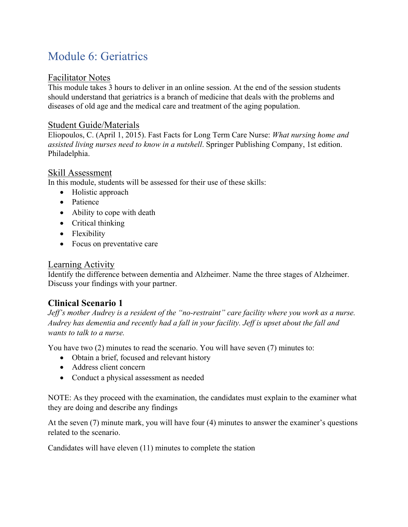# Module 6: Geriatrics

#### Facilitator Notes

This module takes 3 hours to deliver in an online session. At the end of the session students should understand that geriatrics is a branch of medicine that deals with the problems and diseases of old age and the medical care and treatment of the aging population.

#### Student Guide/Materials

Eliopoulos, C. (April 1, 2015). Fast Facts for Long Term Care Nurse: *What nursing home and assisted living nurses need to know in a nutshell*. Springer Publishing Company, 1st edition. Philadelphia.

### Skill Assessment

In this module, students will be assessed for their use of these skills:

- Holistic approach
- Patience
- Ability to cope with death
- Critical thinking
- Flexibility
- Focus on preventative care

#### Learning Activity

Identify the difference between dementia and Alzheimer. Name the three stages of Alzheimer. Discuss your findings with your partner.

## **Clinical Scenario 1**

*Jeff's mother Audrey is a resident of the "no-restraint" care facility where you work as a nurse. Audrey has dementia and recently had a fall in your facility. Jeff is upset about the fall and wants to talk to a nurse.* 

You have two (2) minutes to read the scenario. You will have seven (7) minutes to:

- Obtain a brief, focused and relevant history
- Address client concern
- Conduct a physical assessment as needed

NOTE: As they proceed with the examination, the candidates must explain to the examiner what they are doing and describe any findings

At the seven (7) minute mark, you will have four (4) minutes to answer the examiner's questions related to the scenario.

Candidates will have eleven (11) minutes to complete the station